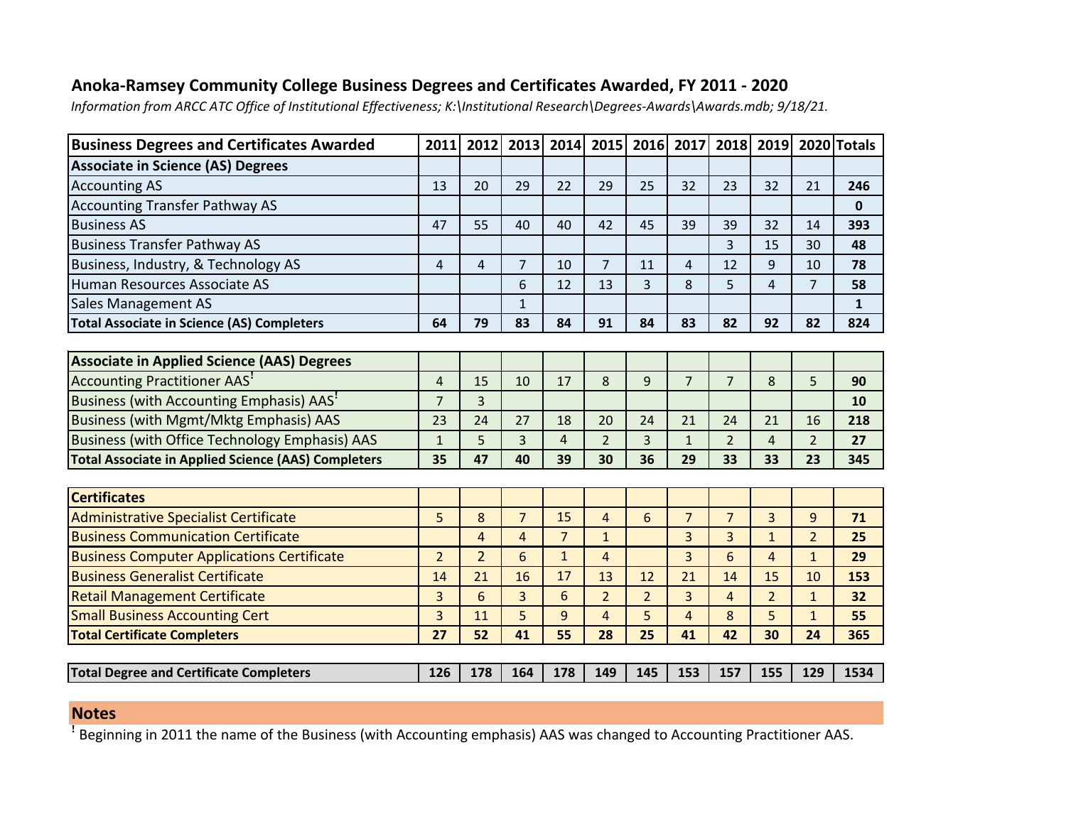## **Anoka-Ramsey Community College Business Degrees and Certificates Awarded, FY 2011 - 2020**

*Information from ARCC ATC Office of Institutional Effectiveness; K:\Institutional Research\Degrees-Awards\Awards.mdb; 9/18/21.*

| <b>Business Degrees and Certificates Awarded</b>           | 2011           | 2012           | 2013           | 2014           | 2015           | 2016           | 2017           | 2018           | 2019           |                | 2020 Totals  |
|------------------------------------------------------------|----------------|----------------|----------------|----------------|----------------|----------------|----------------|----------------|----------------|----------------|--------------|
| <b>Associate in Science (AS) Degrees</b>                   |                |                |                |                |                |                |                |                |                |                |              |
| <b>Accounting AS</b>                                       | 13             | 20             | 29             | 22             | 29             | 25             | 32             | 23             | 32             | 21             | 246          |
| <b>Accounting Transfer Pathway AS</b>                      |                |                |                |                |                |                |                |                |                |                | $\mathbf 0$  |
| <b>Business AS</b>                                         | 47             | 55             | 40             | 40             | 42             | 45             | 39             | 39             | 32             | 14             | 393          |
| <b>Business Transfer Pathway AS</b>                        |                |                |                |                |                |                |                | 3              | 15             | 30             | 48           |
| Business, Industry, & Technology AS                        | $\overline{4}$ | $\overline{4}$ | $\overline{7}$ | 10             | $\overline{7}$ | 11             | $\overline{4}$ | 12             | 9              | 10             | 78           |
| Human Resources Associate AS                               |                |                | 6              | 12             | 13             | 3              | 8              | 5              | $\overline{4}$ | $\overline{7}$ | 58           |
| Sales Management AS                                        |                |                | $\mathbf{1}$   |                |                |                |                |                |                |                | $\mathbf{1}$ |
| <b>Total Associate in Science (AS) Completers</b>          | 64             | 79             | 83             | 84             | 91             | 84             | 83             | 82             | 92             | 82             | 824          |
|                                                            |                |                |                |                |                |                |                |                |                |                |              |
| <b>Associate in Applied Science (AAS) Degrees</b>          |                |                |                |                |                |                |                |                |                |                |              |
| Accounting Practitioner AAS'                               | 4              | 15             | 10             | 17             | 8              | $9\,$          | $\overline{7}$ | 7              | 8              | 5              | 90           |
| Business (with Accounting Emphasis) AAS'                   | $\overline{7}$ | 3              |                |                |                |                |                |                |                |                | 10           |
| <b>Business (with Mgmt/Mktg Emphasis) AAS</b>              | 23             | 24             | 27             | 18             | 20             | 24             | 21             | 24             | 21             | 16             | 218          |
| <b>Business (with Office Technology Emphasis) AAS</b>      | $\mathbf{1}$   | 5              | 3              | $\overline{4}$ | $\overline{2}$ | 3              | $\mathbf{1}$   | $\overline{2}$ | $\overline{4}$ | $\overline{2}$ | 27           |
| <b>Total Associate in Applied Science (AAS) Completers</b> | 35             | 47             | 40             | 39             | 30             | 36             | 29             | 33             | 33             | 23             | 345          |
|                                                            |                |                |                |                |                |                |                |                |                |                |              |
| <b>Certificates</b>                                        |                |                |                |                |                |                |                |                |                |                |              |
| <b>Administrative Specialist Certificate</b>               | 5              | 8              | $\overline{7}$ | 15             | $\overline{a}$ | 6              | $\overline{7}$ | $\overline{7}$ | 3              | 9              | 71           |
| <b>Business Communication Certificate</b>                  |                | 4              | $\overline{4}$ | $\overline{7}$ | $\mathbf{1}$   |                | 3              | 3              | $\mathbf{1}$   | $\overline{2}$ | 25           |
| <b>Business Computer Applications Certificate</b>          | $\overline{2}$ | $\overline{2}$ | 6              | $\mathbf{1}$   | $\overline{4}$ |                | 3              | 6              | 4              | $\mathbf{1}$   | 29           |
| <b>Business Generalist Certificate</b>                     | 14             | 21             | 16             | 17             | 13             | 12             | 21             | 14             | 15             | 10             | 153          |
| <b>Retail Management Certificate</b>                       | 3              | 6              | 3              | 6              | $\overline{2}$ | $\overline{2}$ | 3              | 4              | $\overline{2}$ | $\mathbf{1}$   | 32           |
| <b>Small Business Accounting Cert</b>                      | 3              | 11             | 5              | 9              | $\overline{4}$ | 5              | $\overline{4}$ | 8              | 5              | $\mathbf{1}$   | 55           |
| <b>Total Certificate Completers</b>                        | 27             | 52             | 41             | 55             | 28             | 25             | 41             | 42             | 30             | 24             | 365          |
|                                                            |                |                |                |                |                |                |                |                |                |                |              |
| <b>Total Degree and Certificate Completers</b>             | 126            | 178            | 164            | 178            | 149            | 145            | 153            | 157            | 155            | 129            | 1534         |

## **Notes**

ꜝ Beginning in 2011 the name of the Business (with Accounting emphasis) AAS was changed to Accounting Practitioner AAS.